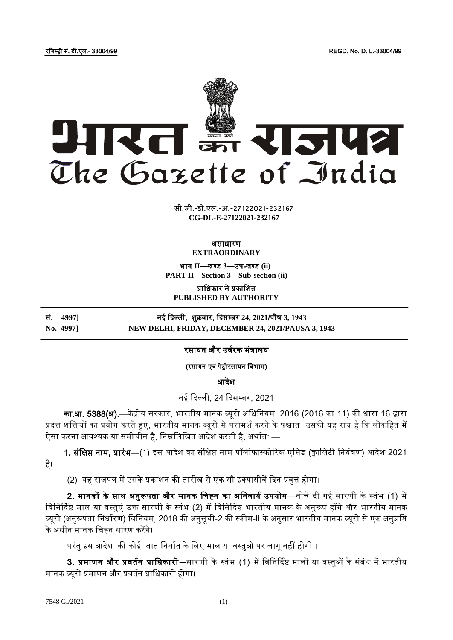रजिस्ट्री सं. डी.एल.- 33004/99 REGD. No. D. L.-33004/99



xxxx <del>di um</del><br>Titrataan **xxx**GIDE**xxx CG-DL-E-27122021-232167**सी.जी.-डी.एल.-अ.-27122021-232167

#### असाधारण **EXTRAORDINARY**

भाग **II**—खण् ड **3**—उप-खण् ड **(ii) PART II—Section 3—Sub-section (ii)**

प्राजधकार से प्रकाजित **PUBLISHED BY AUTHORITY**

सं. **4997]** नई ददल्ली, िुक्रर्ार, ददसम् बर **24, 2021**/पौष **3, 1943 No. 4997] NEW DELHI, FRIDAY, DECEMBER 24, 2021/PAUSA 3, 1943**

# रसायन और उर्वरक मंत्रालय

(रसायन एर्ं पेरोरसायन जर्भाग)

आदेश

नई दिल्ली, 24 दिसम्बर, 2021

का.<mark>आ. 5388(अ).</mark>—केंद्रीय सरकार, भारतीय मानक ब्यूरो अधिनियम, 2016 (2016 का 11) की धारा 16 द्वारा प्रदत्त शक्तियों का प्रयोग करते हुए, भारतीय मानक ब्यूरो से परामर्श करने के पश्चात उसकी यह राय है कि लोकहित में ऐसा करना आवश्यक या समीचीन है, निम्नलिखित आदेश करती है, अर्थात: —

1. संक्षिप्त नाम, प्रारंभ—(1) इस आदेश का संक्षिप्त नाम पॉलीफास्फोरिक एसिड (क्वालिटी नियंत्रण) आदेश 2021 है।

(2) यह राजपत्र में उसके प्रकाशन की तारीख से एक सौ इक्यासीवें दिन प्रवृत्त होगा।

2. मानकों के साथ अनुरूपता और मानक चिह्न का अनिवार्य उपयोग—नीचे दी गई सारणी के स्तंभ (1) में विनिर्दिष्ट माल या वस्तुएं उक्त सारणी के स्तंभ (2) में विनिर्दिष्ट भारतीय मानक के अनुरूप होंगे और भारतीय मानक ब्यूरो (अनुरूपता निर्धारण) विनियम, 2018 की अनुसूची-2 की स्कीम-II के अनुसार भारतीय मानक ब्यूरो से एक अनुज्ञप्ति के अधीन मानक जचह्न धारण करेंगे।

परंतु इस आदेश की कोई बात निर्यात के लिए माल या वस्तुओं पर लागू नहीं होगी ।

3. प्रमाणन और प्रवर्तन प्राधिकारी—सारणी के स्तंभ (1) में विनिर्दिष्ट मालों या वस्तुओं के संबंध में भारतीय मानक ब्यूरो प्रमाणन और प्रर्तवन प्राजधकारी होगा।